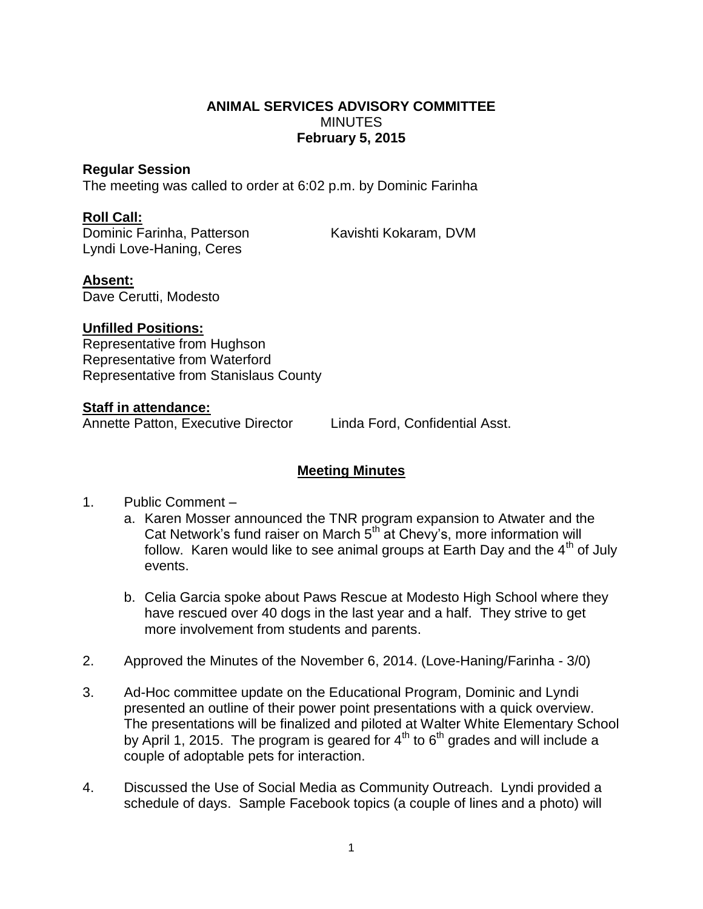### **ANIMAL SERVICES ADVISORY COMMITTEE MINUTES February 5, 2015**

#### **Regular Session**

The meeting was called to order at 6:02 p.m. by Dominic Farinha

## **Roll Call:**

Dominic Farinha, Patterson Kavishti Kokaram, DVM Lyndi Love-Haning, Ceres

## **Absent:**

Dave Cerutti, Modesto

## **Unfilled Positions:**

Representative from Hughson Representative from Waterford Representative from Stanislaus County

#### **Staff in attendance:**

Annette Patton, Executive Director Linda Ford, Confidential Asst.

# **Meeting Minutes**

- 1. Public Comment
	- a. Karen Mosser announced the TNR program expansion to Atwater and the Cat Network's fund raiser on March 5<sup>th</sup> at Chevy's, more information will follow. Karen would like to see animal groups at Earth Day and the  $4<sup>th</sup>$  of July events.
	- b. Celia Garcia spoke about Paws Rescue at Modesto High School where they have rescued over 40 dogs in the last year and a half. They strive to get more involvement from students and parents.
- 2. Approved the Minutes of the November 6, 2014. (Love-Haning/Farinha 3/0)
- 3. Ad-Hoc committee update on the Educational Program, Dominic and Lyndi presented an outline of their power point presentations with a quick overview. The presentations will be finalized and piloted at Walter White Elementary School by April 1, 2015. The program is geared for  $4<sup>th</sup>$  to  $6<sup>th</sup>$  grades and will include a couple of adoptable pets for interaction.
- 4. Discussed the Use of Social Media as Community Outreach. Lyndi provided a schedule of days. Sample Facebook topics (a couple of lines and a photo) will